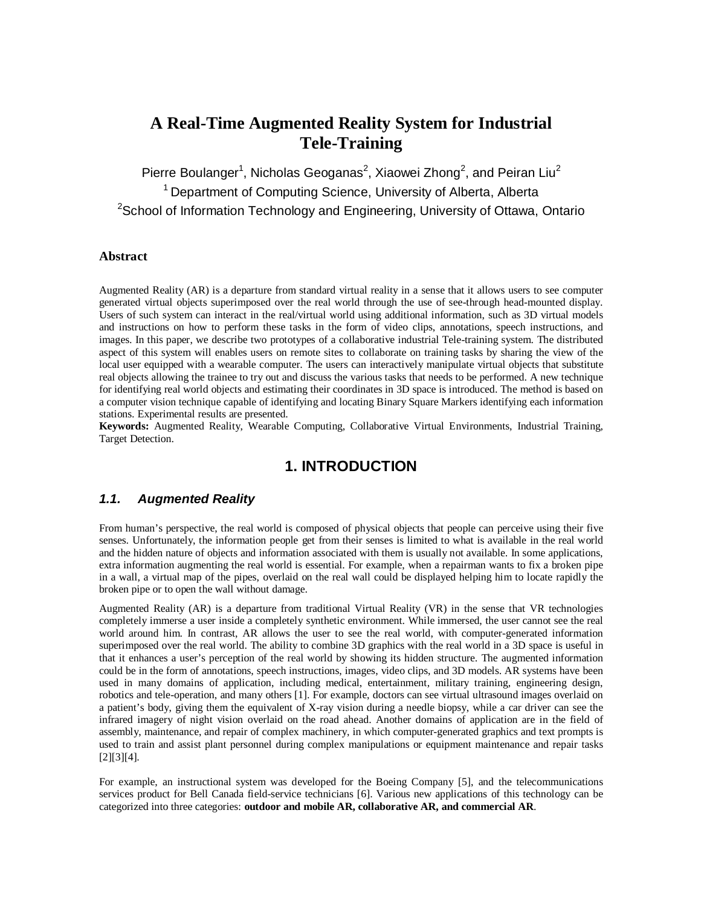# **A Real-Time Augmented Reality System for Industrial Tele-Training**

Pierre Boulanger<sup>1</sup>, Nicholas Geoganas<sup>2</sup>, Xiaowei Zhong<sup>2</sup>, and Peiran Liu<sup>2</sup> <sup>1</sup> Department of Computing Science, University of Alberta, Alberta <sup>2</sup>School of Information Technology and Engineering, University of Ottawa, Ontario

### **Abstract**

Augmented Reality (AR) is a departure from standard virtual reality in a sense that it allows users to see computer generated virtual objects superimposed over the real world through the use of see-through head-mounted display. Users of such system can interact in the real/virtual world using additional information, such as 3D virtual models and instructions on how to perform these tasks in the form of video clips, annotations, speech instructions, and images. In this paper, we describe two prototypes of a collaborative industrial Tele-training system. The distributed aspect of this system will enables users on remote sites to collaborate on training tasks by sharing the view of the local user equipped with a wearable computer. The users can interactively manipulate virtual objects that substitute real objects allowing the trainee to try out and discuss the various tasks that needs to be performed. A new technique for identifying real world objects and estimating their coordinates in 3D space is introduced. The method is based on a computer vision technique capable of identifying and locating Binary Square Markers identifying each information stations. Experimental results are presented.

**Keywords:** Augmented Reality, Wearable Computing, Collaborative Virtual Environments, Industrial Training, Target Detection.

# **1. INTRODUCTION**

## **1.1. Augmented Reality**

From human's perspective, the real world is composed of physical objects that people can perceive using their five senses. Unfortunately, the information people get from their senses is limited to what is available in the real world and the hidden nature of objects and information associated with them is usually not available. In some applications, extra information augmenting the real world is essential. For example, when a repairman wants to fix a broken pipe in a wall, a virtual map of the pipes, overlaid on the real wall could be displayed helping him to locate rapidly the broken pipe or to open the wall without damage.

Augmented Reality (AR) is a departure from traditional Virtual Reality (VR) in the sense that VR technologies completely immerse a user inside a completely synthetic environment. While immersed, the user cannot see the real world around him. In contrast, AR allows the user to see the real world, with computer-generated information superimposed over the real world. The ability to combine 3D graphics with the real world in a 3D space is useful in that it enhances a user's perception of the real world by showing its hidden structure. The augmented information could be in the form of annotations, speech instructions, images, video clips, and 3D models. AR systems have been used in many domains of application, including medical, entertainment, military training, engineering design, robotics and tele-operation, and many others [1]. For example, doctors can see virtual ultrasound images overlaid on a patient's body, giving them the equivalent of X-ray vision during a needle biopsy, while a car driver can see the infrared imagery of night vision overlaid on the road ahead. Another domains of application are in the field of assembly, maintenance, and repair of complex machinery, in which computer-generated graphics and text prompts is used to train and assist plant personnel during complex manipulations or equipment maintenance and repair tasks [2][3][4].

For example, an instructional system was developed for the Boeing Company [5], and the telecommunications services product for Bell Canada field-service technicians [6]. Various new applications of this technology can be categorized into three categories: **outdoor and mobile AR, collaborative AR, and commercial AR**.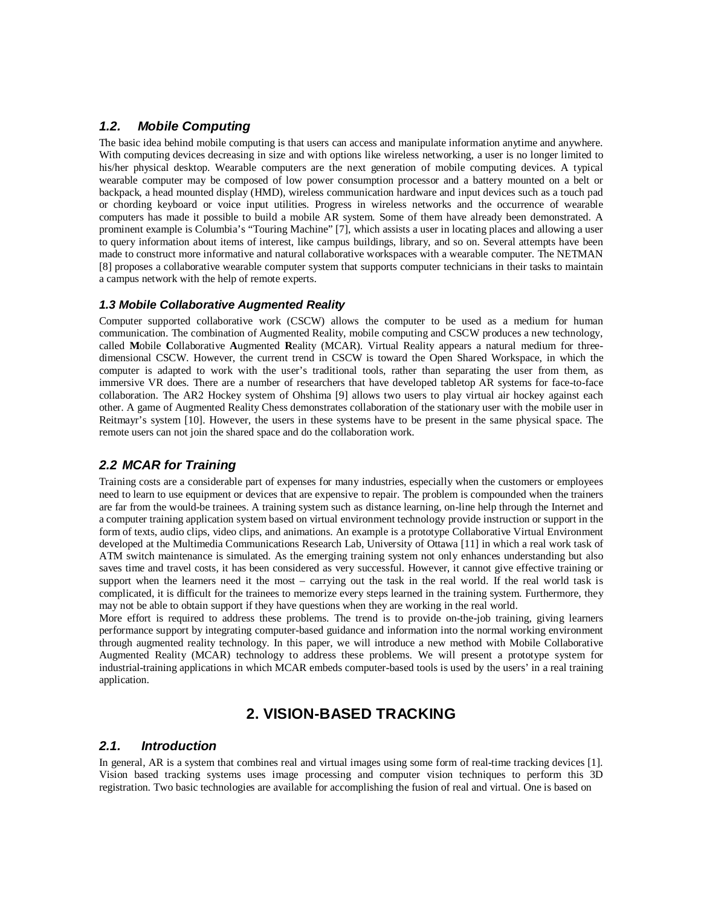## **1.2. Mobile Computing**

The basic idea behind mobile computing is that users can access and manipulate information anytime and anywhere. With computing devices decreasing in size and with options like wireless networking, a user is no longer limited to his/her physical desktop. Wearable computers are the next generation of mobile computing devices. A typical wearable computer may be composed of low power consumption processor and a battery mounted on a belt or backpack, a head mounted display (HMD), wireless communication hardware and input devices such as a touch pad or chording keyboard or voice input utilities. Progress in wireless networks and the occurrence of wearable computers has made it possible to build a mobile AR system. Some of them have already been demonstrated. A prominent example is Columbia's "Touring Machine" [7], which assists a user in locating places and allowing a user to query information about items of interest, like campus buildings, library, and so on. Several attempts have been made to construct more informative and natural collaborative workspaces with a wearable computer. The NETMAN [8] proposes a collaborative wearable computer system that supports computer technicians in their tasks to maintain a campus network with the help of remote experts.

### **1.3 Mobile Collaborative Augmented Reality**

Computer supported collaborative work (CSCW) allows the computer to be used as a medium for human communication. The combination of Augmented Reality, mobile computing and CSCW produces a new technology, called **M**obile **C**ollaborative **A**ugmented **R**eality (MCAR). Virtual Reality appears a natural medium for threedimensional CSCW. However, the current trend in CSCW is toward the Open Shared Workspace, in which the computer is adapted to work with the user's traditional tools, rather than separating the user from them, as immersive VR does. There are a number of researchers that have developed tabletop AR systems for face-to-face collaboration. The AR2 Hockey system of Ohshima [9] allows two users to play virtual air hockey against each other. A game of Augmented Reality Chess demonstrates collaboration of the stationary user with the mobile user in Reitmayr's system [10]. However, the users in these systems have to be present in the same physical space. The remote users can not join the shared space and do the collaboration work.

## **2.2 MCAR for Training**

Training costs are a considerable part of expenses for many industries, especially when the customers or employees need to learn to use equipment or devices that are expensive to repair. The problem is compounded when the trainers are far from the would-be trainees. A training system such as distance learning, on-line help through the Internet and a computer training application system based on virtual environment technology provide instruction or support in the form of texts, audio clips, video clips, and animations. An example is a prototype Collaborative Virtual Environment developed at the Multimedia Communications Research Lab, University of Ottawa [11] in which a real work task of ATM switch maintenance is simulated. As the emerging training system not only enhances understanding but also saves time and travel costs, it has been considered as very successful. However, it cannot give effective training or support when the learners need it the most – carrying out the task in the real world. If the real world task is complicated, it is difficult for the trainees to memorize every steps learned in the training system. Furthermore, they may not be able to obtain support if they have questions when they are working in the real world.

More effort is required to address these problems. The trend is to provide on-the-job training, giving learners performance support by integrating computer-based guidance and information into the normal working environment through augmented reality technology. In this paper, we will introduce a new method with Mobile Collaborative Augmented Reality (MCAR) technology to address these problems. We will present a prototype system for industrial-training applications in which MCAR embeds computer-based tools is used by the users' in a real training application.

## **2. VISION-BASED TRACKING**

### **2.1. Introduction**

In general, AR is a system that combines real and virtual images using some form of real-time tracking devices [1]. Vision based tracking systems uses image processing and computer vision techniques to perform this 3D registration. Two basic technologies are available for accomplishing the fusion of real and virtual. One is based on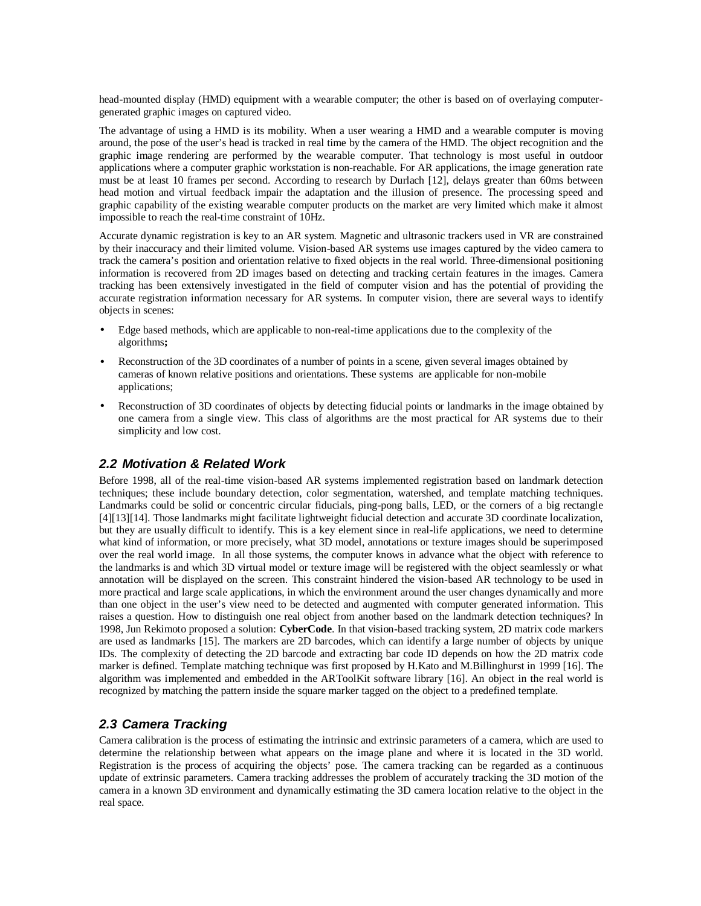head-mounted display (HMD) equipment with a wearable computer; the other is based on of overlaying computergenerated graphic images on captured video.

The advantage of using a HMD is its mobility. When a user wearing a HMD and a wearable computer is moving around, the pose of the user's head is tracked in real time by the camera of the HMD. The object recognition and the graphic image rendering are performed by the wearable computer. That technology is most useful in outdoor applications where a computer graphic workstation is non-reachable. For AR applications, the image generation rate must be at least 10 frames per second. According to research by Durlach [12], delays greater than 60ms between head motion and virtual feedback impair the adaptation and the illusion of presence. The processing speed and graphic capability of the existing wearable computer products on the market are very limited which make it almost impossible to reach the real-time constraint of 10Hz.

Accurate dynamic registration is key to an AR system. Magnetic and ultrasonic trackers used in VR are constrained by their inaccuracy and their limited volume. Vision-based AR systems use images captured by the video camera to track the camera's position and orientation relative to fixed objects in the real world. Three-dimensional positioning information is recovered from 2D images based on detecting and tracking certain features in the images. Camera tracking has been extensively investigated in the field of computer vision and has the potential of providing the accurate registration information necessary for AR systems. In computer vision, there are several ways to identify objects in scenes:

- Edge based methods, which are applicable to non-real-time applications due to the complexity of the algorithms**;**
- Reconstruction of the 3D coordinates of a number of points in a scene, given several images obtained by cameras of known relative positions and orientations. These systems are applicable for non-mobile applications;
- Reconstruction of 3D coordinates of objects by detecting fiducial points or landmarks in the image obtained by one camera from a single view. This class of algorithms are the most practical for AR systems due to their simplicity and low cost.

## **2.2 Motivation & Related Work**

Before 1998, all of the real-time vision-based AR systems implemented registration based on landmark detection techniques; these include boundary detection, color segmentation, watershed, and template matching techniques. Landmarks could be solid or concentric circular fiducials, ping-pong balls, LED, or the corners of a big rectangle [4][13][14]. Those landmarks might facilitate lightweight fiducial detection and accurate 3D coordinate localization, but they are usually difficult to identify. This is a key element since in real-life applications, we need to determine what kind of information, or more precisely, what 3D model, annotations or texture images should be superimposed over the real world image. In all those systems, the computer knows in advance what the object with reference to the landmarks is and which 3D virtual model or texture image will be registered with the object seamlessly or what annotation will be displayed on the screen. This constraint hindered the vision-based AR technology to be used in more practical and large scale applications, in which the environment around the user changes dynamically and more than one object in the user's view need to be detected and augmented with computer generated information. This raises a question. How to distinguish one real object from another based on the landmark detection techniques? In 1998, Jun Rekimoto proposed a solution: **CyberCode**. In that vision-based tracking system, 2D matrix code markers are used as landmarks [15]. The markers are 2D barcodes, which can identify a large number of objects by unique IDs. The complexity of detecting the 2D barcode and extracting bar code ID depends on how the 2D matrix code marker is defined. Template matching technique was first proposed by H.Kato and M.Billinghurst in 1999 [16]. The algorithm was implemented and embedded in the ARToolKit software library [16]. An object in the real world is recognized by matching the pattern inside the square marker tagged on the object to a predefined template.

## **2.3 Camera Tracking**

Camera calibration is the process of estimating the intrinsic and extrinsic parameters of a camera, which are used to determine the relationship between what appears on the image plane and where it is located in the 3D world. Registration is the process of acquiring the objects' pose. The camera tracking can be regarded as a continuous update of extrinsic parameters. Camera tracking addresses the problem of accurately tracking the 3D motion of the camera in a known 3D environment and dynamically estimating the 3D camera location relative to the object in the real space.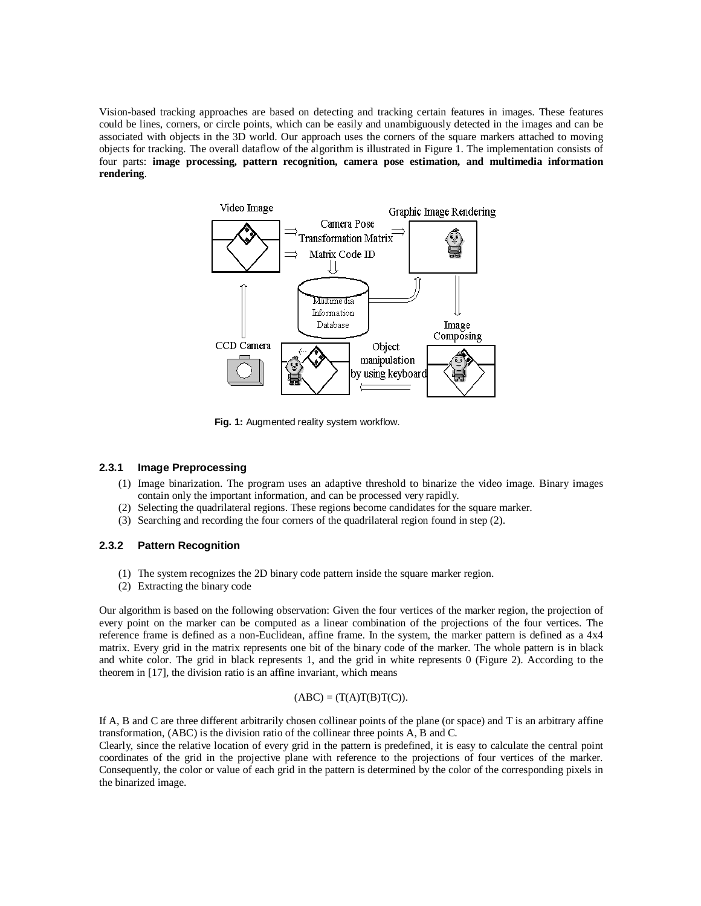Vision-based tracking approaches are based on detecting and tracking certain features in images. These features could be lines, corners, or circle points, which can be easily and unambiguously detected in the images and can be associated with objects in the 3D world. Our approach uses the corners of the square markers attached to moving objects for tracking. The overall dataflow of the algorithm is illustrated in Figure 1. The implementation consists of four parts: **image processing, pattern recognition, camera pose estimation, and multimedia information rendering**.



Fig. 1: Augmented reality system workflow.

### **2.3.1 Image Preprocessing**

- (1) Image binarization. The program uses an adaptive threshold to binarize the video image. Binary images contain only the important information, and can be processed very rapidly.
- (2) Selecting the quadrilateral regions. These regions become candidates for the square marker.
- (3) Searching and recording the four corners of the quadrilateral region found in step (2).

#### **2.3.2 Pattern Recognition**

- (1) The system recognizes the 2D binary code pattern inside the square marker region.
- (2) Extracting the binary code

Our algorithm is based on the following observation: Given the four vertices of the marker region, the projection of every point on the marker can be computed as a linear combination of the projections of the four vertices. The reference frame is defined as a non-Euclidean, affine frame. In the system, the marker pattern is defined as a 4x4 matrix. Every grid in the matrix represents one bit of the binary code of the marker. The whole pattern is in black and white color. The grid in black represents 1, and the grid in white represents 0 (Figure 2). According to the theorem in [17], the division ratio is an affine invariant, which means

### $(ABC) = (T(A)T(B)T(C)).$

If A, B and C are three different arbitrarily chosen collinear points of the plane (or space) and T is an arbitrary affine transformation, (ABC) is the division ratio of the collinear three points A, B and C.

Clearly, since the relative location of every grid in the pattern is predefined, it is easy to calculate the central point coordinates of the grid in the projective plane with reference to the projections of four vertices of the marker. Consequently, the color or value of each grid in the pattern is determined by the color of the corresponding pixels in the binarized image.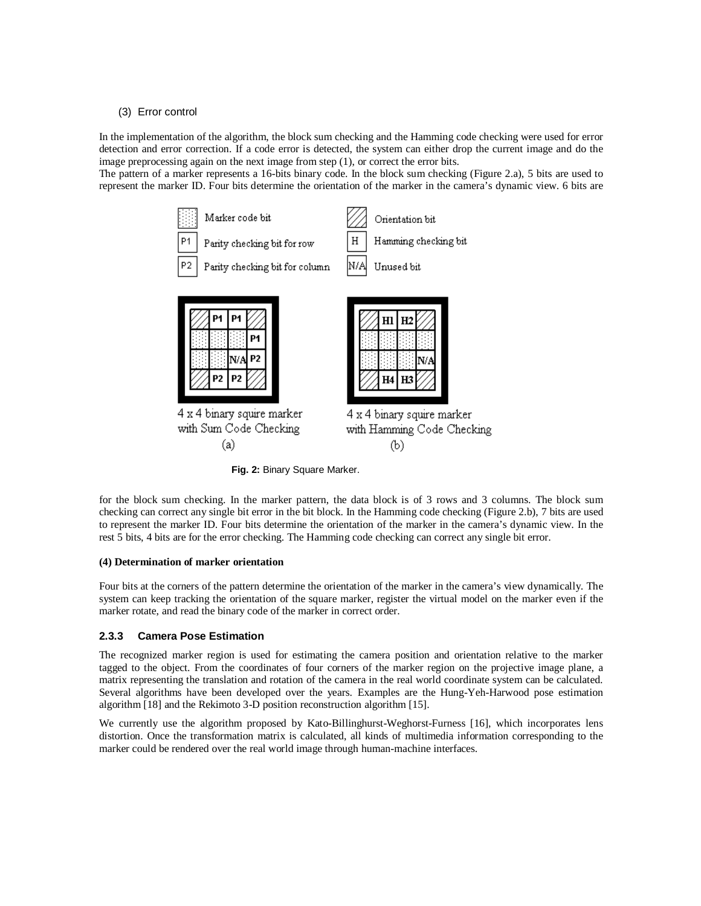### (3) Error control

In the implementation of the algorithm, the block sum checking and the Hamming code checking were used for error detection and error correction. If a code error is detected, the system can either drop the current image and do the image preprocessing again on the next image from step (1), or correct the error bits.

The pattern of a marker represents a 16-bits binary code. In the block sum checking (Figure 2.a), 5 bits are used to represent the marker ID. Four bits determine the orientation of the marker in the camera's dynamic view. 6 bits are



for the block sum checking. In the marker pattern, the data block is of 3 rows and 3 columns. The block sum checking can correct any single bit error in the bit block. In the Hamming code checking (Figure 2.b), 7 bits are used to represent the marker ID. Four bits determine the orientation of the marker in the camera's dynamic view. In the rest 5 bits, 4 bits are for the error checking. The Hamming code checking can correct any single bit error.

#### **(4) Determination of marker orientation**

Four bits at the corners of the pattern determine the orientation of the marker in the camera's view dynamically. The system can keep tracking the orientation of the square marker, register the virtual model on the marker even if the marker rotate, and read the binary code of the marker in correct order.

### **2.3.3 Camera Pose Estimation**

The recognized marker region is used for estimating the camera position and orientation relative to the marker tagged to the object. From the coordinates of four corners of the marker region on the projective image plane, a matrix representing the translation and rotation of the camera in the real world coordinate system can be calculated. Several algorithms have been developed over the years. Examples are the Hung-Yeh-Harwood pose estimation algorithm [18] and the Rekimoto 3-D position reconstruction algorithm [15].

We currently use the algorithm proposed by Kato-Billinghurst-Weghorst-Furness [16], which incorporates lens distortion. Once the transformation matrix is calculated, all kinds of multimedia information corresponding to the marker could be rendered over the real world image through human-machine interfaces.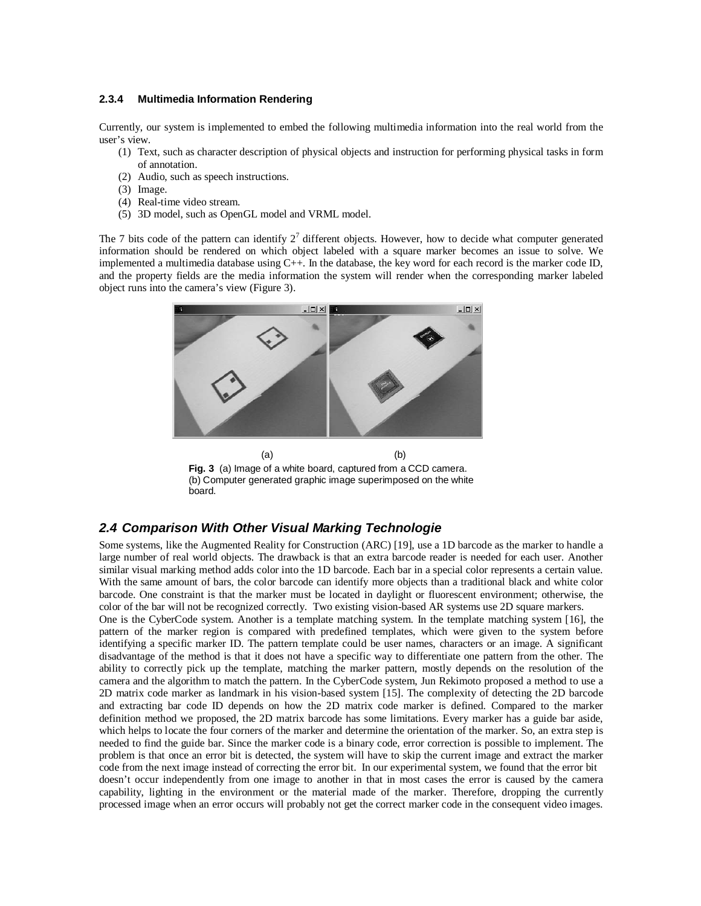#### **2.3.4 Multimedia Information Rendering**

Currently, our system is implemented to embed the following multimedia information into the real world from the user's view.

- (1) Text, such as character description of physical objects and instruction for performing physical tasks in form of annotation.
- (2) Audio, such as speech instructions.
- (3) Image.
- (4) Real-time video stream.
- (5) 3D model, such as OpenGL model and VRML model.

The 7 bits code of the pattern can identify  $2^7$  different objects. However, how to decide what computer generated information should be rendered on which object labeled with a square marker becomes an issue to solve. We implemented a multimedia database using  $C_{++}$ . In the database, the key word for each record is the marker code ID, and the property fields are the media information the system will render when the corresponding marker labeled object runs into the camera's view (Figure 3).





## **2.4 Comparison With Other Visual Marking Technologie**

Some systems, like the Augmented Reality for Construction (ARC) [19], use a 1D barcode as the marker to handle a large number of real world objects. The drawback is that an extra barcode reader is needed for each user. Another similar visual marking method adds color into the 1D barcode. Each bar in a special color represents a certain value. With the same amount of bars, the color barcode can identify more objects than a traditional black and white color barcode. One constraint is that the marker must be located in daylight or fluorescent environment; otherwise, the color of the bar will not be recognized correctly. Two existing vision-based AR systems use 2D square markers.

One is the CyberCode system. Another is a template matching system. In the template matching system [16], the pattern of the marker region is compared with predefined templates, which were given to the system before identifying a specific marker ID. The pattern template could be user names, characters or an image. A significant disadvantage of the method is that it does not have a specific way to differentiate one pattern from the other. The ability to correctly pick up the template, matching the marker pattern, mostly depends on the resolution of the camera and the algorithm to match the pattern. In the CyberCode system, Jun Rekimoto proposed a method to use a 2D matrix code marker as landmark in his vision-based system [15]. The complexity of detecting the 2D barcode and extracting bar code ID depends on how the 2D matrix code marker is defined. Compared to the marker definition method we proposed, the 2D matrix barcode has some limitations. Every marker has a guide bar aside, which helps to locate the four corners of the marker and determine the orientation of the marker. So, an extra step is needed to find the guide bar. Since the marker code is a binary code, error correction is possible to implement. The problem is that once an error bit is detected, the system will have to skip the current image and extract the marker code from the next image instead of correcting the error bit. In our experimental system, we found that the error bit doesn't occur independently from one image to another in that in most cases the error is caused by the camera capability, lighting in the environment or the material made of the marker. Therefore, dropping the currently processed image when an error occurs will probably not get the correct marker code in the consequent video images.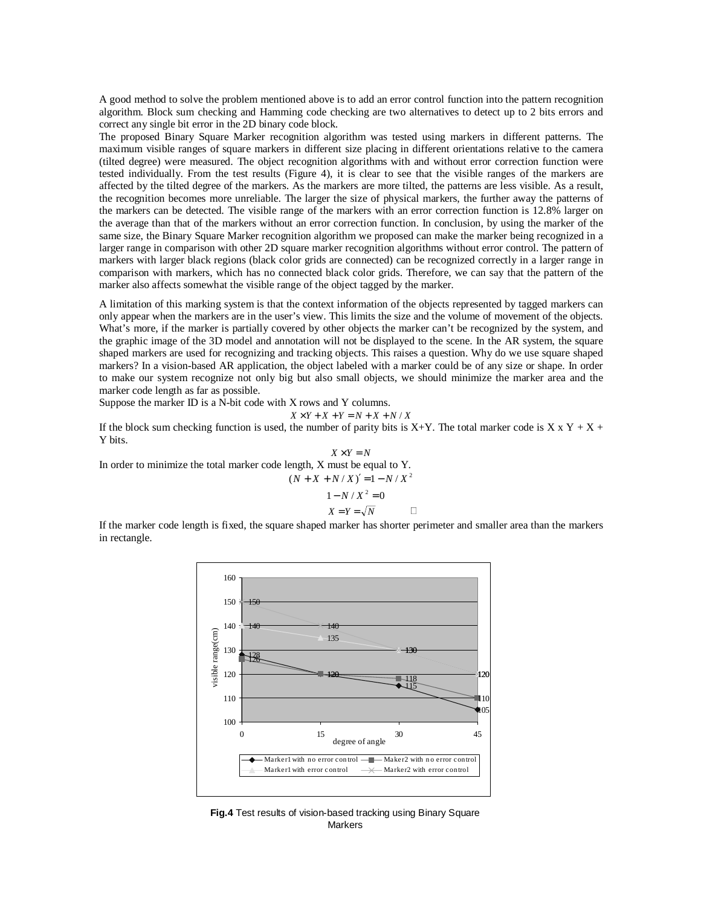A good method to solve the problem mentioned above is to add an error control function into the pattern recognition algorithm. Block sum checking and Hamming code checking are two alternatives to detect up to 2 bits errors and correct any single bit error in the 2D binary code block.

The proposed Binary Square Marker recognition algorithm was tested using markers in different patterns. The maximum visible ranges of square markers in different size placing in different orientations relative to the camera (tilted degree) were measured. The object recognition algorithms with and without error correction function were tested individually. From the test results (Figure 4), it is clear to see that the visible ranges of the markers are affected by the tilted degree of the markers. As the markers are more tilted, the patterns are less visible. As a result, the recognition becomes more unreliable. The larger the size of physical markers, the further away the patterns of the markers can be detected. The visible range of the markers with an error correction function is 12.8% larger on the average than that of the markers without an error correction function. In conclusion, by using the marker of the same size, the Binary Square Marker recognition algorithm we proposed can make the marker being recognized in a larger range in comparison with other 2D square marker recognition algorithms without error control. The pattern of markers with larger black regions (black color grids are connected) can be recognized correctly in a larger range in comparison with markers, which has no connected black color grids. Therefore, we can say that the pattern of the marker also affects somewhat the visible range of the object tagged by the marker.

A limitation of this marking system is that the context information of the objects represented by tagged markers can only appear when the markers are in the user's view. This limits the size and the volume of movement of the objects. What's more, if the marker is partially covered by other objects the marker can't be recognized by the system, and the graphic image of the 3D model and annotation will not be displayed to the scene. In the AR system, the square shaped markers are used for recognizing and tracking objects. This raises a question. Why do we use square shaped markers? In a vision-based AR application, the object labeled with a marker could be of any size or shape. In order to make our system recognize not only big but also small objects, we should minimize the marker area and the marker code length as far as possible.

Suppose the marker ID is a N-bit code with X rows and Y columns.

$$
X \times Y + X + Y = N + X + N / X
$$

If the block sum checking function is used, the number of parity bits is X+Y. The total marker code is X x Y + X + Y bits.

 $X \times Y = N$ In order to minimize the total marker code length, X must be equal to Y.  $(N + X + N/X)' = 1 - N/X^2$ 

$$
1 - N / X^2 = 0
$$

$$
X = Y = \sqrt{N}
$$

 $X = Y = \sqrt{N}$   $\Box$ <br>If the marker code length is fixed, the square shaped marker has shorter perimeter and smaller area than the markers in rectangle.



**Fig.4** Test results of vision-based tracking using Binary Square **Markers**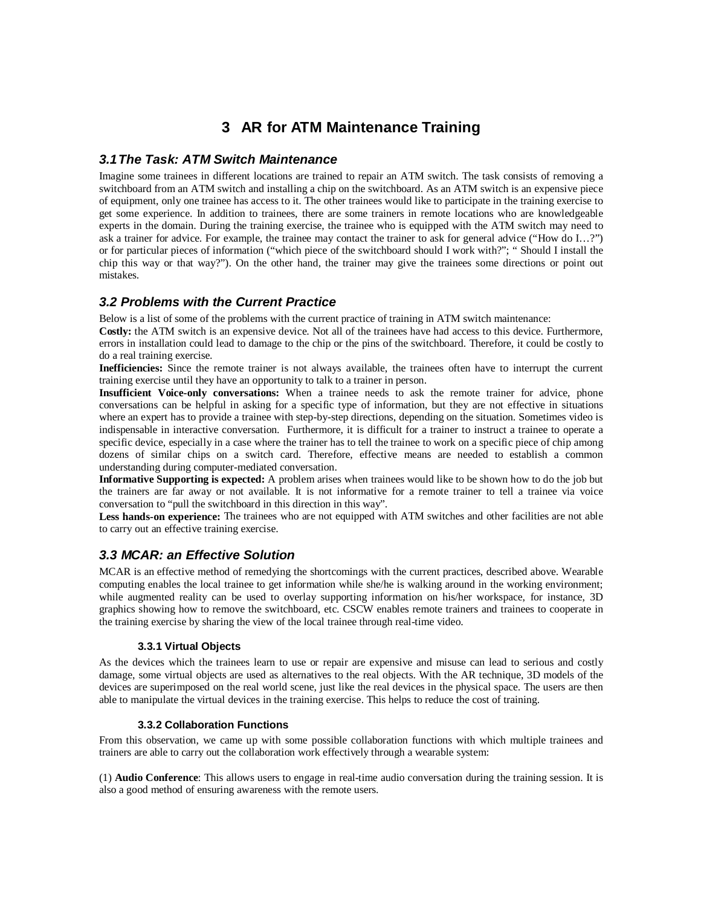# **3 AR for ATM Maintenance Training**

## **3.1 The Task: ATM Switch Maintenance**

Imagine some trainees in different locations are trained to repair an ATM switch. The task consists of removing a switchboard from an ATM switch and installing a chip on the switchboard. As an ATM switch is an expensive piece of equipment, only one trainee has access to it. The other trainees would like to participate in the training exercise to get some experience. In addition to trainees, there are some trainers in remote locations who are knowledgeable experts in the domain. During the training exercise, the trainee who is equipped with the ATM switch may need to ask a trainer for advice. For example, the trainee may contact the trainer to ask for general advice ("How do I…?") or for particular pieces of information ("which piece of the switchboard should I work with?"; " Should I install the chip this way or that way?"). On the other hand, the trainer may give the trainees some directions or point out mistakes.

## **3.2 Problems with the Current Practice**

Below is a list of some of the problems with the current practice of training in ATM switch maintenance:

**Costly:** the ATM switch is an expensive device. Not all of the trainees have had access to this device. Furthermore, errors in installation could lead to damage to the chip or the pins of the switchboard. Therefore, it could be costly to do a real training exercise.

**Inefficiencies:** Since the remote trainer is not always available, the trainees often have to interrupt the current training exercise until they have an opportunity to talk to a trainer in person.

**Insufficient Voice-only conversations:** When a trainee needs to ask the remote trainer for advice, phone conversations can be helpful in asking for a specific type of information, but they are not effective in situations where an expert has to provide a trainee with step-by-step directions, depending on the situation. Sometimes video is indispensable in interactive conversation. Furthermore, it is difficult for a trainer to instruct a trainee to operate a specific device, especially in a case where the trainer has to tell the trainee to work on a specific piece of chip among dozens of similar chips on a switch card. Therefore, effective means are needed to establish a common understanding during computer-mediated conversation.

**Informative Supporting is expected:** A problem arises when trainees would like to be shown how to do the job but the trainers are far away or not available. It is not informative for a remote trainer to tell a trainee via voice conversation to "pull the switchboard in this direction in this way".

Less hands-on experience: The trainees who are not equipped with ATM switches and other facilities are not able to carry out an effective training exercise.

## **3.3 MCAR: an Effective Solution**

MCAR is an effective method of remedying the shortcomings with the current practices, described above. Wearable computing enables the local trainee to get information while she/he is walking around in the working environment; while augmented reality can be used to overlay supporting information on his/her workspace, for instance, 3D graphics showing how to remove the switchboard, etc. CSCW enables remote trainers and trainees to cooperate in the training exercise by sharing the view of the local trainee through real-time video.

### **3.3.1 Virtual Objects**

As the devices which the trainees learn to use or repair are expensive and misuse can lead to serious and costly damage, some virtual objects are used as alternatives to the real objects. With the AR technique, 3D models of the devices are superimposed on the real world scene, just like the real devices in the physical space. The users are then able to manipulate the virtual devices in the training exercise. This helps to reduce the cost of training.

### **3.3.2 Collaboration Functions**

From this observation, we came up with some possible collaboration functions with which multiple trainees and trainers are able to carry out the collaboration work effectively through a wearable system:

(1) **Audio Conference**: This allows users to engage in real-time audio conversation during the training session. It is also a good method of ensuring awareness with the remote users.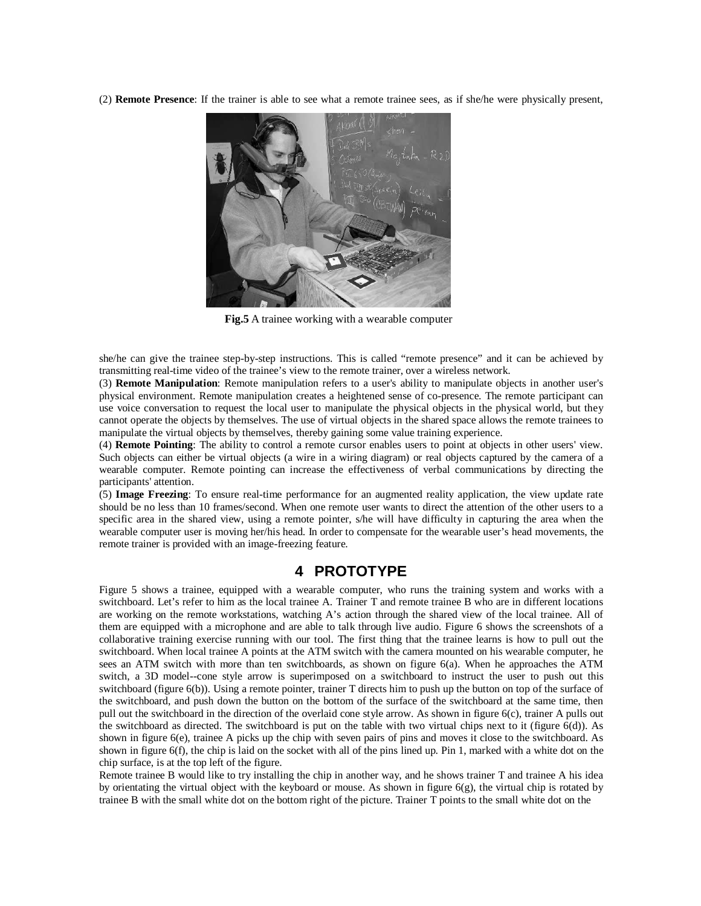(2) **Remote Presence**: If the trainer is able to see what a remote trainee sees, as if she/he were physically present,



**Fig.5** A trainee working with a wearable computer

she/he can give the trainee step-by-step instructions. This is called "remote presence" and it can be achieved by transmitting real-time video of the trainee's view to the remote trainer, over a wireless network.

(3) **Remote Manipulation**: Remote manipulation refers to a user's ability to manipulate objects in another user's physical environment. Remote manipulation creates a heightened sense of co-presence. The remote participant can use voice conversation to request the local user to manipulate the physical objects in the physical world, but they cannot operate the objects by themselves. The use of virtual objects in the shared space allows the remote trainees to manipulate the virtual objects by themselves, thereby gaining some value training experience.

(4) **Remote Pointing**: The ability to control a remote cursor enables users to point at objects in other users' view. Such objects can either be virtual objects (a wire in a wiring diagram) or real objects captured by the camera of a wearable computer. Remote pointing can increase the effectiveness of verbal communications by directing the participants' attention.

(5) **Image Freezing**: To ensure real-time performance for an augmented reality application, the view update rate should be no less than 10 frames/second. When one remote user wants to direct the attention of the other users to a specific area in the shared view, using a remote pointer, s/he will have difficulty in capturing the area when the wearable computer user is moving her/his head. In order to compensate for the wearable user's head movements, the remote trainer is provided with an image-freezing feature.

## **4 PROTOTYPE**

Figure 5 shows a trainee, equipped with a wearable computer, who runs the training system and works with a switchboard. Let's refer to him as the local trainee A. Trainer T and remote trainee B who are in different locations are working on the remote workstations, watching A's action through the shared view of the local trainee. All of them are equipped with a microphone and are able to talk through live audio. Figure 6 shows the screenshots of a collaborative training exercise running with our tool. The first thing that the trainee learns is how to pull out the switchboard. When local trainee A points at the ATM switch with the camera mounted on his wearable computer, he sees an ATM switch with more than ten switchboards, as shown on figure 6(a). When he approaches the ATM switch, a 3D model--cone style arrow is superimposed on a switchboard to instruct the user to push out this switchboard (figure 6(b)). Using a remote pointer, trainer T directs him to push up the button on top of the surface of the switchboard, and push down the button on the bottom of the surface of the switchboard at the same time, then pull out the switchboard in the direction of the overlaid cone style arrow. As shown in figure 6(c), trainer A pulls out the switchboard as directed. The switchboard is put on the table with two virtual chips next to it (figure  $6(d)$ ). As shown in figure 6(e), trainee A picks up the chip with seven pairs of pins and moves it close to the switchboard. As shown in figure 6(f), the chip is laid on the socket with all of the pins lined up. Pin 1, marked with a white dot on the chip surface, is at the top left of the figure.

Remote trainee B would like to try installing the chip in another way, and he shows trainer T and trainee A his idea by orientating the virtual object with the keyboard or mouse. As shown in figure 6(g), the virtual chip is rotated by trainee B with the small white dot on the bottom right of the picture. Trainer T points to the small white dot on the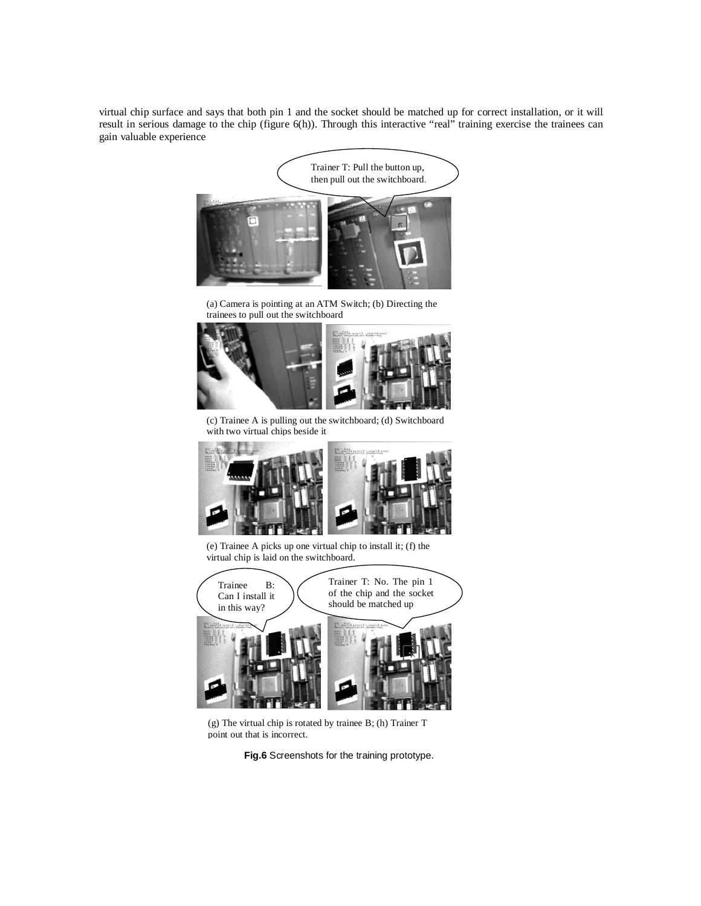virtual chip surface and says that both pin 1 and the socket should be matched up for correct installation, or it will result in serious damage to the chip (figure 6(h)). Through this interactive "real" training exercise the trainees can gain valuable experience



(a) Camera is pointing at an ATM Switch; (b) Directing the trainees to pull out the switchboard



(c) Trainee A is pulling out the switchboard; (d) Switchboard with two virtual chips beside it



(e) Trainee A picks up one virtual chip to install it; (f) the virtual chip is laid on the switchboard.



(g) The virtual chip is rotated by trainee B; (h) Trainer T point out that is incorrect.

**Fig.6** Screenshots for the training prototype.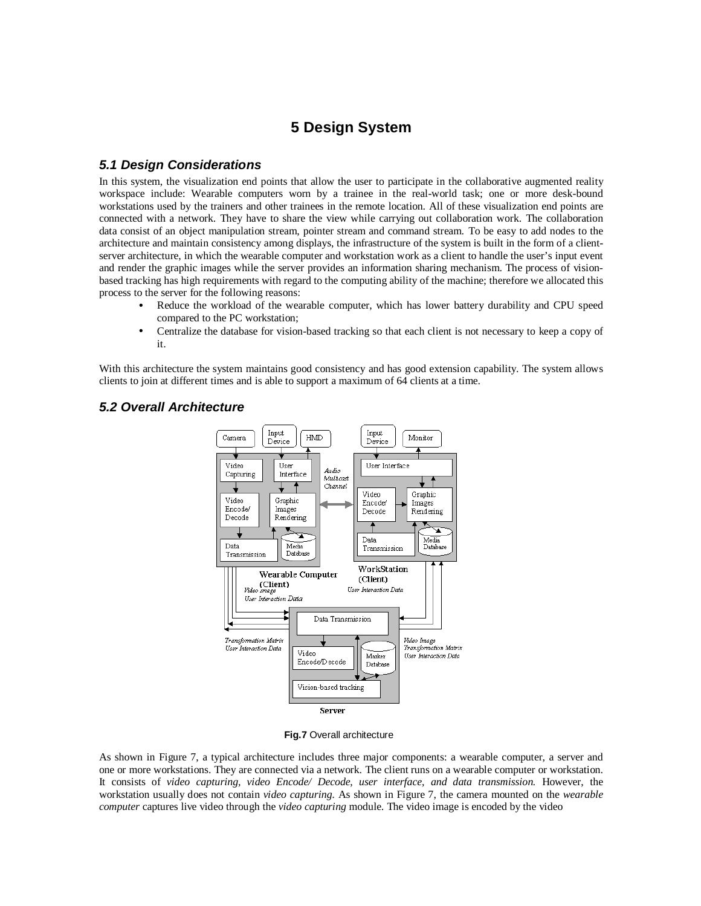# **5 Design System**

### **5.1 Design Considerations**

In this system, the visualization end points that allow the user to participate in the collaborative augmented reality workspace include: Wearable computers worn by a trainee in the real-world task; one or more desk-bound workstations used by the trainers and other trainees in the remote location. All of these visualization end points are connected with a network. They have to share the view while carrying out collaboration work. The collaboration data consist of an object manipulation stream, pointer stream and command stream. To be easy to add nodes to the architecture and maintain consistency among displays, the infrastructure of the system is built in the form of a clientserver architecture, in which the wearable computer and workstation work as a client to handle the user's input event and render the graphic images while the server provides an information sharing mechanism. The process of visionbased tracking has high requirements with regard to the computing ability of the machine; therefore we allocated this process to the server for the following reasons:

- Reduce the workload of the wearable computer, which has lower battery durability and CPU speed compared to the PC workstation;
- Centralize the database for vision-based tracking so that each client is not necessary to keep a copy of it.

With this architecture the system maintains good consistency and has good extension capability. The system allows clients to join at different times and is able to support a maximum of 64 clients at a time.



## **5.2 Overall Architecture**

**Fig.7** Overall architecture

As shown in Figure 7, a typical architecture includes three major components: a wearable computer, a server and one or more workstations. They are connected via a network. The client runs on a wearable computer or workstation. It consists of *video capturing, video Encode/ Decode, user interface, and data transmission*. However, the workstation usually does not contain *video capturing.* As shown in Figure 7, the camera mounted on the *wearable computer* captures live video through the *video capturing* module. The video image is encoded by the video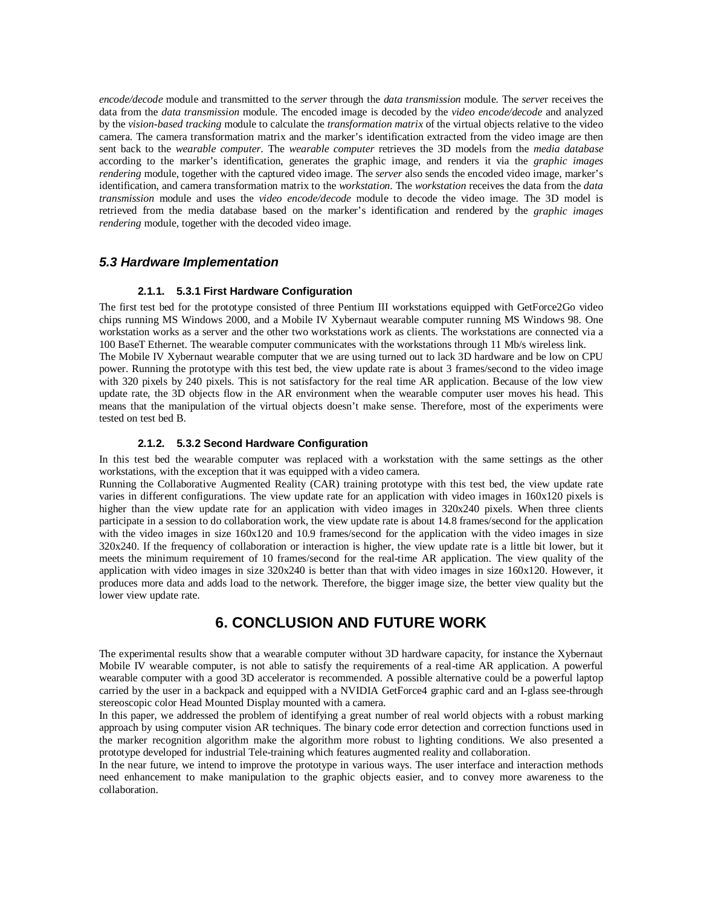*encode/decode* module and transmitted to the *server* through the *data transmission* module. The *serve*r receives the data from the *data transmission* module. The encoded image is decoded by the *video encode/decode* and analyzed by the *vision-based tracking* module to calculate the *transformation matrix* of the virtual objects relative to the video camera. The camera transformation matrix and the marker's identification extracted from the video image are then sent back to the *wearable computer*. The *wearable computer* retrieves the 3D models from the *media database*  according to the marker's identification, generates the graphic image, and renders it via the *graphic images rendering* module, together with the captured video image. The *server* also sends the encoded video image, marker's identification, and camera transformation matrix to the *workstation*. The *workstation* receives the data from the *data transmission* module and uses the *video encode/decode* module to decode the video image. The 3D model is retrieved from the media database based on the marker's identification and rendered by the *graphic images rendering* module, together with the decoded video image.

## **5.3 Hardware Implementation**

### **2.1.1. 5.3.1 First Hardware Configuration**

The first test bed for the prototype consisted of three Pentium III workstations equipped with GetForce2Go video chips running MS Windows 2000, and a Mobile IV Xybernaut wearable computer running MS Windows 98. One workstation works as a server and the other two workstations work as clients. The workstations are connected via a 100 BaseT Ethernet. The wearable computer communicates with the workstations through 11 Mb/s wireless link. The Mobile IV Xybernaut wearable computer that we are using turned out to lack 3D hardware and be low on CPU power. Running the prototype with this test bed, the view update rate is about 3 frames/second to the video image with 320 pixels by 240 pixels. This is not satisfactory for the real time AR application. Because of the low view update rate, the 3D objects flow in the AR environment when the wearable computer user moves his head. This means that the manipulation of the virtual objects doesn't make sense. Therefore, most of the experiments were tested on test bed B.

### **2.1.2. 5.3.2 Second Hardware Configuration**

In this test bed the wearable computer was replaced with a workstation with the same settings as the other workstations, with the exception that it was equipped with a video camera.

Running the Collaborative Augmented Reality (CAR) training prototype with this test bed, the view update rate varies in different configurations. The view update rate for an application with video images in 160x120 pixels is higher than the view update rate for an application with video images in 320x240 pixels. When three clients participate in a session to do collaboration work, the view update rate is about 14.8 frames/second for the application with the video images in size 160x120 and 10.9 frames/second for the application with the video images in size 320x240. If the frequency of collaboration or interaction is higher, the view update rate is a little bit lower, but it meets the minimum requirement of 10 frames/second for the real-time AR application. The view quality of the application with video images in size 320x240 is better than that with video images in size 160x120. However, it produces more data and adds load to the network. Therefore, the bigger image size, the better view quality but the lower view update rate.

# **6. CONCLUSION AND FUTURE WORK**

The experimental results show that a wearable computer without 3D hardware capacity, for instance the Xybernaut Mobile IV wearable computer, is not able to satisfy the requirements of a real-time AR application. A powerful wearable computer with a good 3D accelerator is recommended. A possible alternative could be a powerful laptop carried by the user in a backpack and equipped with a NVIDIA GetForce4 graphic card and an I-glass see-through stereoscopic color Head Mounted Display mounted with a camera.

In this paper, we addressed the problem of identifying a great number of real world objects with a robust marking approach by using computer vision AR techniques. The binary code error detection and correction functions used in the marker recognition algorithm make the algorithm more robust to lighting conditions. We also presented a prototype developed for industrial Tele-training which features augmented reality and collaboration.

In the near future, we intend to improve the prototype in various ways. The user interface and interaction methods need enhancement to make manipulation to the graphic objects easier, and to convey more awareness to the collaboration.